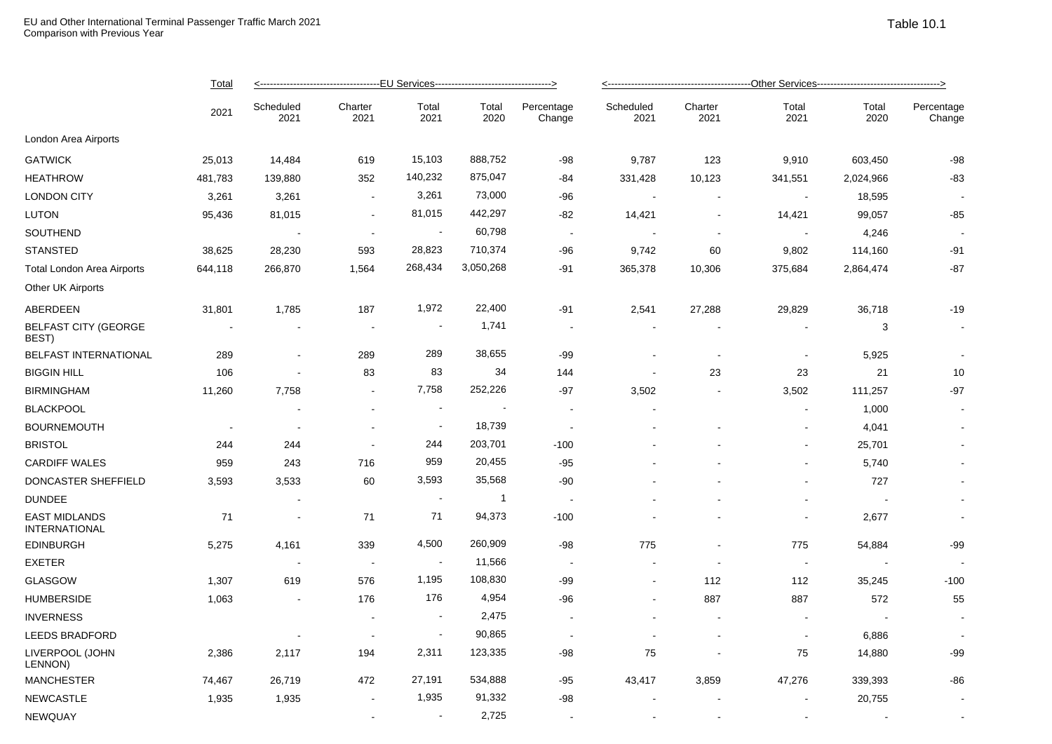|                                       | <b>Total</b><br>2021 |                   |                          |                          |                |                          |                   |                          |                          |               |                      |  |
|---------------------------------------|----------------------|-------------------|--------------------------|--------------------------|----------------|--------------------------|-------------------|--------------------------|--------------------------|---------------|----------------------|--|
|                                       |                      | Scheduled<br>2021 | Charter<br>2021          | Total<br>2021            | Total<br>2020  | Percentage<br>Change     | Scheduled<br>2021 | Charter<br>2021          | Total<br>2021            | Total<br>2020 | Percentage<br>Change |  |
| London Area Airports                  |                      |                   |                          |                          |                |                          |                   |                          |                          |               |                      |  |
| <b>GATWICK</b>                        | 25,013               | 14,484            | 619                      | 15,103                   | 888,752        | -98                      | 9,787             | 123                      | 9,910                    | 603,450       | $-98$                |  |
| HEATHROW                              | 481,783              | 139,880           | 352                      | 140,232                  | 875,047        | -84                      | 331,428           | 10,123                   | 341,551                  | 2,024,966     | $-83$                |  |
| <b>LONDON CITY</b>                    | 3,261                | 3,261             | $\sim$                   | 3,261                    | 73,000         | -96                      |                   |                          |                          | 18,595        |                      |  |
| LUTON                                 | 95,436               | 81,015            | $\sim$                   | 81,015                   | 442,297        | -82                      | 14,421            | $\sim$                   | 14,421                   | 99,057        | $-85$                |  |
| SOUTHEND                              |                      |                   | $\sim$                   | $\overline{\phantom{a}}$ | 60,798         | $\overline{\phantom{a}}$ |                   | $\sim$                   |                          | 4,246         |                      |  |
| STANSTED                              | 38,625               | 28,230            | 593                      | 28,823                   | 710,374        | $-96$                    | 9,742             | 60                       | 9,802                    | 114,160       | $-91$                |  |
| Total London Area Airports            | 644,118              | 266,870           | 1,564                    | 268,434                  | 3,050,268      | $-91$                    | 365,378           | 10,306                   | 375,684                  | 2,864,474     | $-87$                |  |
| Other UK Airports                     |                      |                   |                          |                          |                |                          |                   |                          |                          |               |                      |  |
| ABERDEEN                              | 31,801               | 1,785             | 187                      | 1,972                    | 22,400         | -91                      | 2,541             | 27,288                   | 29,829                   | 36,718        | $-19$                |  |
| <b>BELFAST CITY (GEORGE</b><br>BEST)  |                      |                   | $\sim$                   |                          | 1,741          | $\overline{\phantom{a}}$ |                   |                          |                          | 3             |                      |  |
| <b>BELFAST INTERNATIONAL</b>          | 289                  | $\sim$            | 289                      | 289                      | 38,655         | $-99$                    |                   | $\sim$                   |                          | 5,925         |                      |  |
| <b>BIGGIN HILL</b>                    | 106                  |                   | 83                       | 83                       | 34             | 144                      |                   | 23                       | 23                       | 21            | 10                   |  |
| <b>BIRMINGHAM</b>                     | 11,260               | 7,758             | $\sim$                   | 7,758                    | 252,226        | $-97$                    | 3,502             | $\blacksquare$           | 3,502                    | 111,257       | $-97$                |  |
| <b>BLACKPOOL</b>                      |                      |                   | $\sim$                   | $\blacksquare$           |                | $\blacksquare$           |                   |                          |                          | 1,000         |                      |  |
| <b>BOURNEMOUTH</b>                    |                      |                   | $\sim$                   | $\overline{\phantom{a}}$ | 18,739         |                          |                   |                          |                          | 4,041         |                      |  |
| BRISTOL                               | 244                  | 244               | $\sim$                   | 244                      | 203,701        | $-100$                   |                   |                          |                          | 25,701        |                      |  |
| <b>CARDIFF WALES</b>                  | 959                  | 243               | 716                      | 959                      | 20,455         | $-95$                    |                   |                          | ۰                        | 5,740         |                      |  |
| DONCASTER SHEFFIELD                   | 3,593                | 3,533             | 60                       | 3,593                    | 35,568         | $-90$                    |                   |                          |                          | 727           |                      |  |
| <b>DUNDEE</b>                         |                      |                   |                          |                          | $\overline{1}$ | $\sim$                   |                   |                          | $\overline{\phantom{0}}$ |               |                      |  |
| <b>EAST MIDLANDS</b><br>INTERNATIONAL | 71                   | $\sim$            | 71                       | 71                       | 94,373         | $-100$                   |                   |                          |                          | 2,677         | $\sim$               |  |
| EDINBURGH                             | 5,275                | 4,161             | 339                      | 4,500                    | 260,909        | -98                      | 775               |                          | 775                      | 54,884        | $-99$                |  |
| <b>EXETER</b>                         |                      |                   | $\sim$                   |                          | 11,566         | $\sim$                   |                   |                          |                          |               |                      |  |
| GLASGOW                               | 1,307                | 619               | 576                      | 1,195                    | 108,830        | -99                      |                   | 112                      | 112                      | 35,245        | $-100$               |  |
| <b>HUMBERSIDE</b>                     | 1,063                | $\sim$            | 176                      | 176                      | 4,954          | $-96$                    |                   | 887                      | 887                      | 572           | 55                   |  |
| <b>INVERNESS</b>                      |                      |                   | $\overline{\phantom{a}}$ | $\blacksquare$           | 2,475          | $\overline{\phantom{a}}$ |                   | $\sim$                   |                          |               |                      |  |
| <b>LEEDS BRADFORD</b>                 |                      |                   | $\sim$                   | $\blacksquare$           | 90,865         | $\sim$                   |                   | $\overline{\phantom{a}}$ |                          | 6,886         |                      |  |
| LIVERPOOL (JOHN<br>LENNON)            | 2,386                | 2,117             | 194                      | 2,311                    | 123,335        | -98                      | 75                |                          | 75                       | 14,880        | -99                  |  |
| <b>MANCHESTER</b>                     | 74,467               | 26,719            | 472                      | 27,191                   | 534,888        | $-95$                    | 43,417            | 3,859                    | 47,276                   | 339,393       | $-86$                |  |
| <b>NEWCASTLE</b>                      | 1,935                | 1,935             | $\bullet$                | 1,935                    | 91,332         | -98                      |                   |                          |                          | 20,755        |                      |  |

 $\blacksquare$  . NEWQUAY - -  $\blacksquare$  -  $\blacksquare$  -  $\blacksquare$  -  $\blacksquare$  -  $\blacksquare$  -  $\blacksquare$  -  $\blacksquare$  -  $\blacksquare$  -  $\blacksquare$  -  $\blacksquare$  -  $\blacksquare$  -  $\blacksquare$  -  $\blacksquare$  -  $\blacksquare$  -  $\blacksquare$  -  $\blacksquare$  -  $\blacksquare$  -  $\blacksquare$  -  $\blacksquare$  -  $\blacksquare$  -  $\blacksquare$  -  $\blacksquare$  -  $\$